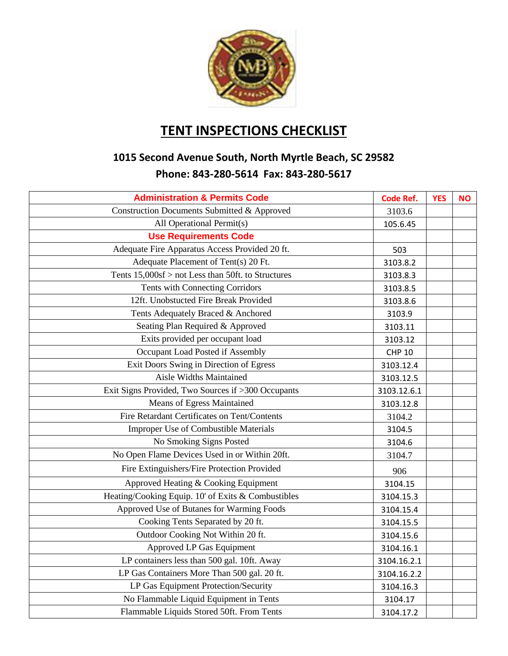

## **TENT INSPECTIONS CHECKLIST**

## **1015 Second Avenue South, North Myrtle Beach, SC 29582 Phone: 843-280-5614 Fax: 843-280-5617**

| <b>Administration &amp; Permits Code</b>           | <b>Code Ref.</b> | <b>YES</b> | <b>NO</b> |
|----------------------------------------------------|------------------|------------|-----------|
| Construction Documents Submitted & Approved        | 3103.6           |            |           |
| All Operational Permit(s)                          | 105.6.45         |            |           |
| <b>Use Requirements Code</b>                       |                  |            |           |
| Adequate Fire Apparatus Access Provided 20 ft.     | 503              |            |           |
| Adequate Placement of Tent(s) 20 Ft.               | 3103.8.2         |            |           |
| Tents 15,000sf > not Less than 50ft. to Structures | 3103.8.3         |            |           |
| Tents with Connecting Corridors                    | 3103.8.5         |            |           |
| 12ft. Unobstucted Fire Break Provided              | 3103.8.6         |            |           |
| Tents Adequately Braced & Anchored                 | 3103.9           |            |           |
| Seating Plan Required & Approved                   | 3103.11          |            |           |
| Exits provided per occupant load                   | 3103.12          |            |           |
| Occupant Load Posted if Assembly                   | <b>CHP 10</b>    |            |           |
| Exit Doors Swing in Direction of Egress            | 3103.12.4        |            |           |
| Aisle Widths Maintained                            | 3103.12.5        |            |           |
| Exit Signs Provided, Two Sources if >300 Occupants | 3103.12.6.1      |            |           |
| Means of Egress Maintained                         | 3103.12.8        |            |           |
| Fire Retardant Certificates on Tent/Contents       | 3104.2           |            |           |
| <b>Improper Use of Combustible Materials</b>       | 3104.5           |            |           |
| No Smoking Signs Posted                            | 3104.6           |            |           |
| No Open Flame Devices Used in or Within 20ft.      | 3104.7           |            |           |
| Fire Extinguishers/Fire Protection Provided        | 906              |            |           |
| Approved Heating & Cooking Equipment               | 3104.15          |            |           |
| Heating/Cooking Equip. 10' of Exits & Combustibles | 3104.15.3        |            |           |
| Approved Use of Butanes for Warming Foods          | 3104.15.4        |            |           |
| Cooking Tents Separated by 20 ft.                  | 3104.15.5        |            |           |
| Outdoor Cooking Not Within 20 ft.                  | 3104.15.6        |            |           |
| Approved LP Gas Equipment                          | 3104.16.1        |            |           |
| LP containers less than 500 gal. 10ft. Away        | 3104.16.2.1      |            |           |
| LP Gas Containers More Than 500 gal. 20 ft.        | 3104.16.2.2      |            |           |
| LP Gas Equipment Protection/Security               | 3104.16.3        |            |           |
| No Flammable Liquid Equipment in Tents             | 3104.17          |            |           |
| Flammable Liquids Stored 50ft. From Tents          | 3104.17.2        |            |           |
|                                                    |                  |            |           |